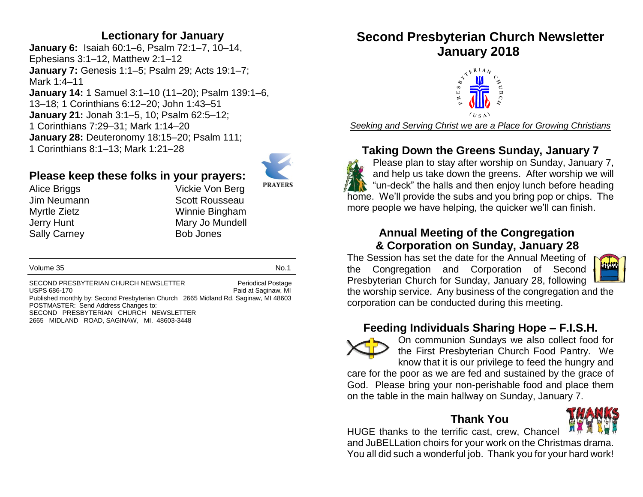#### **Lectionary for January**

**January 6:** Isaiah 60:1–6, Psalm 72:1–7, 10–14, Ephesians 3:1–12, Matthew 2:1–12 **January 7:** Genesis 1:1–5; Psalm 29; Acts 19:1–7; Mark 1:4–11 **January 14:** 1 Samuel 3:1–10 (11–20); Psalm 139:1–6, 13–18; 1 Corinthians 6:12–20; John 1:43–51 **January 21:** Jonah 3:1–5, 10; Psalm 62:5–12; 1 Corinthians 7:29–31; Mark 1:14–20 **January 28:** Deuteronomy 18:15–20; Psalm 111; 1 Corinthians 8:1–13; Mark 1:21–28



### **Please keep these folks in your prayers:**

Sally Carney **Bob Jones** 

Alice Briggs **Vickie Von Berg** Jim Neumann Scott Rousseau Myrtle Zietz Winnie Bingham Jerry Hunt Mary Jo Mundell

Volume 35 No.1

SECOND PRESBYTERIAN CHURCH NEWSLETTER Periodical Postage USPS 686-170<br>
USPS 686-170 Paid at Saginaw, MI Published monthly by: Second Presbyterian Church 2665 Midland Rd. Saginaw, MI 48603 POSTMASTER: Send Address Changes to: SECOND PRESBYTERIAN CHURCH NEWSLETTER 2665 MIDLAND ROAD, SAGINAW, MI. 48603-3448

# **Second Presbyterian Church Newsletter January 2018**



*Seeking and Serving Christ we are a Place for Growing Christians*

## **Taking Down the Greens Sunday, January 7**



Please plan to stay after worship on Sunday, January 7, and help us take down the greens. After worship we will "un-deck" the halls and then enjoy lunch before heading home. We'll provide the subs and you bring pop or chips. The more people we have helping, the quicker we'll can finish.

#### **Annual Meeting of the Congregation & Corporation on Sunday, January 28**

The Session has set the date for the Annual Meeting of the Congregation and Corporation of Second Presbyterian Church for Sunday, January 28, following



the worship service. Any business of the congregation and the corporation can be conducted during this meeting.

#### **Feeding Individuals Sharing Hope – F.I.S.H.**



On communion Sundays we also collect food for the First Presbyterian Church Food Pantry. We know that it is our privilege to feed the hungry and

care for the poor as we are fed and sustained by the grace of God. Please bring your non-perishable food and place them on the table in the main hallway on Sunday, January 7.

### **Thank You**



HUGE thanks to the terrific cast, crew, Chancel and JuBELLation choirs for your work on the Christmas drama. You all did such a wonderful job. Thank you for your hard work!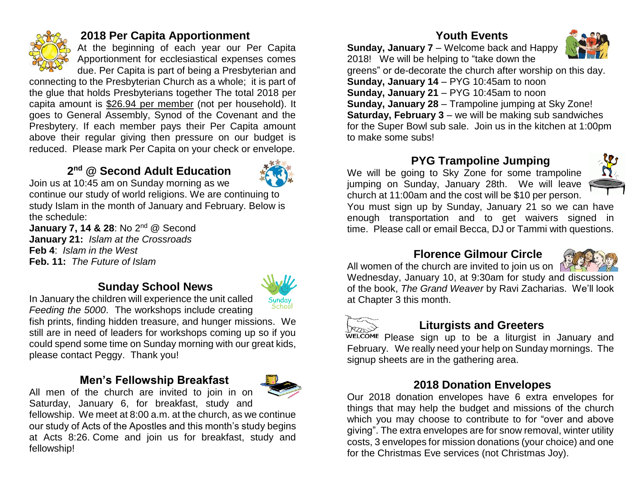

#### **2018 Per Capita Apportionment**

At the beginning of each year our Per Capita Apportionment for ecclesiastical expenses comes due. Per Capita is part of being a Presbyterian and

connecting to the Presbyterian Church as a whole; it is part of the glue that holds Presbyterians together The total 2018 per capita amount is \$26.94 per member (not per household). It goes to General Assembly, Synod of the Covenant and the Presbytery. If each member pays their Per Capita amount above their regular giving then pressure on our budget is reduced. Please mark Per Capita on your check or envelope.

## **2 nd @ Second Adult Education**



Join us at 10:45 am on Sunday morning as we continue our study of world religions. We are continuing to study Islam in the month of January and February. Below is the schedule:

**January 7, 14 & 28**: No 2<sup>nd</sup> @ Second **January 21:** *Islam at the Crossroads* **Feb 4**: *Islam in the West* **Feb. 11:** *The Future of Islam*

## **Sunday School News**



In January the children will experience the unit called *Feeding the 5000*. The workshops include creating fish prints, finding hidden treasure, and hunger missions. We still are in need of leaders for workshops coming up so if you could spend some time on Sunday morning with our great kids, please contact Peggy. Thank you!

### **Men's Fellowship Breakfast**



All men of the church are invited to join in on

Saturday, January 6, for breakfast, study and fellowship. We meet at 8:00 a.m. at the church, as we continue our study of Acts of the Apostles and this month's study begins at Acts 8:26. Come and join us for breakfast, study and fellowship!

## **Youth Events**



**Sunday, January 7** – Welcome back and Happy 2018! We will be helping to "take down the greens" or de-decorate the church after worship on this day. **Sunday, January 14** – PYG 10:45am to noon **Sunday, January 21** – PYG 10:45am to noon **Sunday, January 28** – Trampoline jumping at Sky Zone! **Saturday, February 3** – we will be making sub sandwiches for the Super Bowl sub sale. Join us in the kitchen at 1:00pm to make some subs!

### **PYG Trampoline Jumping**

We will be going to Sky Zone for some trampoline jumping on Sunday, January 28th. We will leave church at 11:00am and the cost will be \$10 per person.



You must sign up by Sunday, January 21 so we can have enough transportation and to get waivers signed in time. Please call or email Becca, DJ or Tammi with questions.

### **Florence Gilmour Circle**



All women of the church are invited to join us on  $\mathbb{N}^*$ Wednesday, January 10, at 9:30am for study and discussion of the book, *The Grand Weaver* by Ravi Zacharias. We'll look at Chapter 3 this month.



#### **Liturgists and Greeters**

WELCOME Please sign up to be a liturgist in January and February. We really need your help on Sunday mornings. The signup sheets are in the gathering area.

#### **2018 Donation Envelopes**

Our 2018 donation envelopes have 6 extra envelopes for things that may help the budget and missions of the church which you may choose to contribute to for "over and above giving". The extra envelopes are for snow removal, winter utility costs, 3 envelopes for mission donations (your choice) and one for the Christmas Eve services (not Christmas Joy).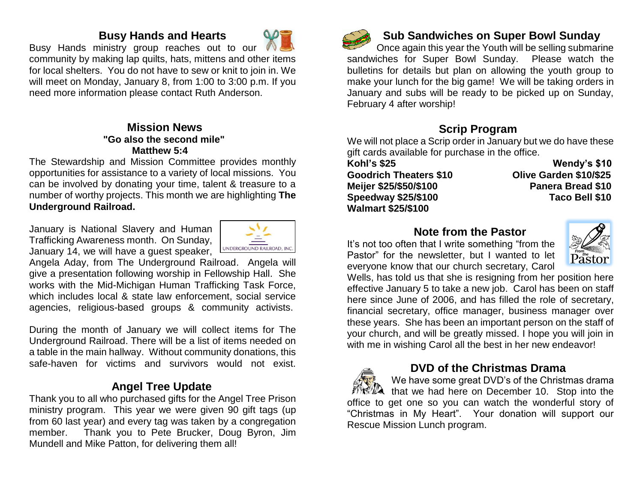#### **Busy Hands and Hearts**



Busy Hands ministry group reaches out to our community by making lap quilts, hats, mittens and other items for local shelters. You do not have to sew or knit to join in. We will meet on Monday, January 8, from 1:00 to 3:00 p.m. If you need more information please contact Ruth Anderson.

#### **Mission News "Go also the second mile" Matthew 5:4**

The Stewardship and Mission Committee provides monthly opportunities for assistance to a variety of local missions. You can be involved by donating your time, talent & treasure to a number of worthy projects. This month we are highlighting **The Underground Railroad.**

January is National Slavery and Human Trafficking Awareness month. On Sunday, January 14, we will have a guest speaker,



Angela Aday, from The Underground Railroad. Angela will give a presentation following worship in Fellowship Hall. She works with the Mid-Michigan Human Trafficking Task Force, which includes local & state law enforcement, social service agencies, religious-based groups & community activists.

During the month of January we will collect items for The Underground Railroad. There will be a list of items needed on a table in the main hallway. Without community donations, this safe-haven for victims and survivors would not exist.

### **Angel Tree Update**

Thank you to all who purchased gifts for the Angel Tree Prison ministry program. This year we were given 90 gift tags (up from 60 last year) and every tag was taken by a congregation member. Thank you to Pete Brucker, Doug Byron, Jim Mundell and Mike Patton, for delivering them all!



### **Sub Sandwiches on Super Bowl Sunday**

Once again this year the Youth will be selling submarine sandwiches for Super Bowl Sunday. Please watch the bulletins for details but plan on allowing the youth group to make your lunch for the big game! We will be taking orders in January and subs will be ready to be picked up on Sunday, February 4 after worship!

#### **Scrip Program**

We will not place a Scrip order in January but we do have these gift cards available for purchase in the office.

**Kohl's \$25 Wendy's \$10 Goodrich Theaters \$10 Olive Garden \$10/\$25 Meijer \$25/\$50/\$100 Panera Bread \$10 Speedway \$25/\$100 Taco Bell \$10 Walmart \$25/\$100**

#### **Note from the Pastor**

It's not too often that I write something "from the Pastor" for the newsletter, but I wanted to let everyone know that our church secretary, Carol



Wells, has told us that she is resigning from her position here effective January 5 to take a new job. Carol has been on staff here since June of 2006, and has filled the role of secretary, financial secretary, office manager, business manager over these years. She has been an important person on the staff of your church, and will be greatly missed. I hope you will join in with me in wishing Carol all the best in her new endeavor!



#### **DVD of the Christmas Drama**

We have some great DVD's of the Christmas drama  $\mathbb{Z}$  that we had here on December 10. Stop into the office to get one so you can watch the wonderful story of "Christmas in My Heart". Your donation will support our Rescue Mission Lunch program.